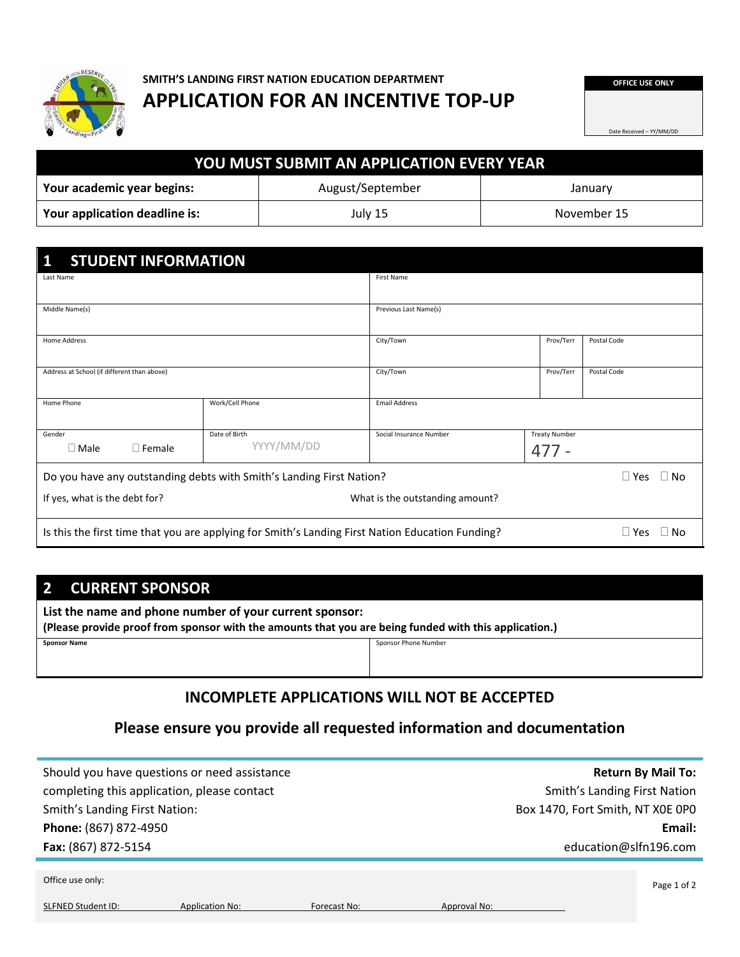

# **SMITH'S LANDING FIRST NATION EDUCATION DEPARTMENT APPLICATION FOR AN INCENTIVE TOP-UP**

**OFFICE USE ONLY**

Date Received – YY/MM/DD

| <b>YOU MUST SUBMIT AN APPLICATION EVERY YEAR</b>          |         |             |  |  |
|-----------------------------------------------------------|---------|-------------|--|--|
| Your academic year begins:<br>August/September<br>January |         |             |  |  |
| Your application deadline is:                             | July 15 | November 15 |  |  |

| <b>STUDENT INFORMATION</b><br>1                                      |                                                                                                  |                         |                            |                         |
|----------------------------------------------------------------------|--------------------------------------------------------------------------------------------------|-------------------------|----------------------------|-------------------------|
| Last Name                                                            |                                                                                                  | First Name              |                            |                         |
|                                                                      |                                                                                                  |                         |                            |                         |
| Middle Name(s)                                                       |                                                                                                  | Previous Last Name(s)   |                            |                         |
| Home Address                                                         |                                                                                                  | City/Town               | Prov/Terr                  | Postal Code             |
| Address at School (if different than above)                          |                                                                                                  | City/Town               | Prov/Terr                  | Postal Code             |
| Home Phone                                                           | Work/Cell Phone                                                                                  | <b>Email Address</b>    |                            |                         |
| Gender                                                               | Date of Birth                                                                                    | Social Insurance Number | <b>Treaty Number</b>       |                         |
| $\square$ Male<br>$\Box$ Female                                      | YYYY/MM/DD                                                                                       |                         | $477 -$                    |                         |
| Do you have any outstanding debts with Smith's Landing First Nation? |                                                                                                  |                         | $\square$ Yes<br>$\Box$ No |                         |
| If yes, what is the debt for?<br>What is the outstanding amount?     |                                                                                                  |                         |                            |                         |
|                                                                      | Is this the first time that you are applying for Smith's Landing First Nation Education Funding? |                         |                            | $\Box$ Yes<br>$\Box$ No |

# **2 CURRENT SPONSOR**

**List the name and phone number of your current sponsor:**

**(Please provide proof from sponsor with the amounts that you are being funded with this application.)**

|--|

**Sponsor Phone Number** 

# **INCOMPLETE APPLICATIONS WILL NOT BE ACCEPTED**

# **Please ensure you provide all requested information and documentation**

| Should you have questions or need assistance |                        |              |              |                                     | <b>Return By Mail To:</b> |
|----------------------------------------------|------------------------|--------------|--------------|-------------------------------------|---------------------------|
| completing this application, please contact  |                        |              |              | <b>Smith's Landing First Nation</b> |                           |
| <b>Smith's Landing First Nation:</b>         |                        |              |              | Box 1470, Fort Smith, NT X0E 0P0    |                           |
| Phone: (867) 872-4950                        |                        |              |              |                                     | Email:                    |
| Fax: (867) 872-5154                          |                        |              |              | education@slfn196.com               |                           |
|                                              |                        |              |              |                                     |                           |
| Office use only:                             |                        |              |              |                                     | Page 1 of 2               |
| <b>SLFNED Student ID:</b>                    | <b>Application No:</b> | Forecast No: | Approval No: |                                     |                           |